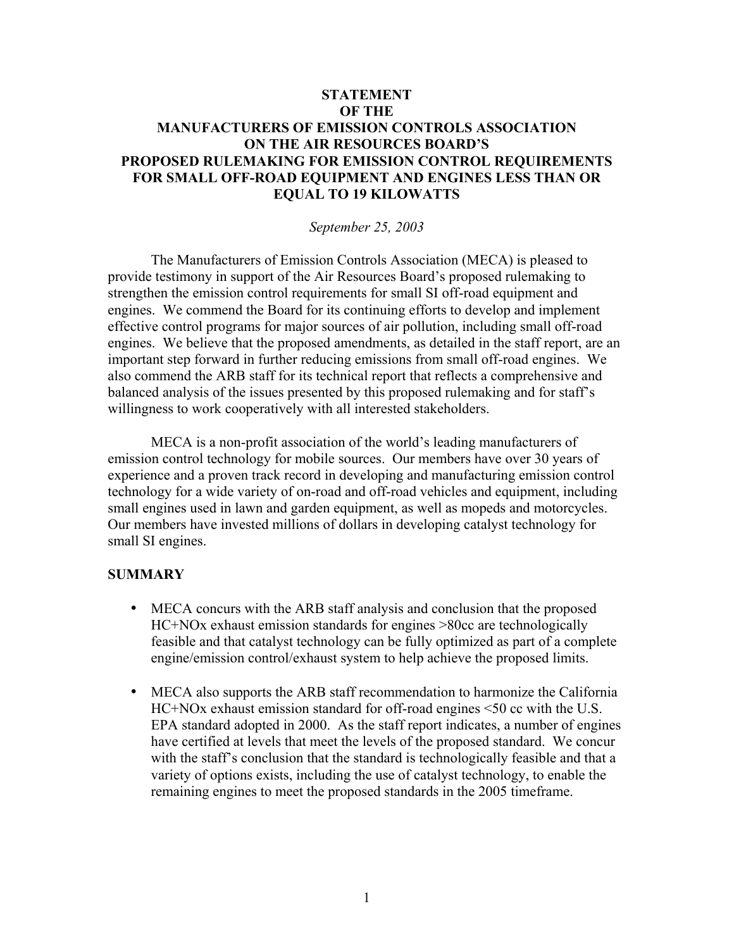# **STATEMENT OF THE MANUFACTURERS OF EMISSION CONTROLS ASSOCIATION ON THE AIR RESOURCES BOARD'S PROPOSED RULEMAKING FOR EMISSION CONTROL REQUIREMENTS FOR SMALL OFF-ROAD EQUIPMENT AND ENGINES LESS THAN OR EQUAL TO 19 KILOWATTS**

### *September 25, 2003*

The Manufacturers of Emission Controls Association (MECA) is pleased to provide testimony in support of the Air Resources Board's proposed rulemaking to strengthen the emission control requirements for small SI off-road equipment and engines. We commend the Board for its continuing efforts to develop and implement effective control programs for major sources of air pollution, including small off-road engines. We believe that the proposed amendments, as detailed in the staff report, are an important step forward in further reducing emissions from small off-road engines. We also commend the ARB staff for its technical report that reflects a comprehensive and balanced analysis of the issues presented by this proposed rulemaking and for staff's willingness to work cooperatively with all interested stakeholders.

MECA is a non-profit association of the world's leading manufacturers of emission control technology for mobile sources. Our members have over 30 years of experience and a proven track record in developing and manufacturing emission control technology for a wide variety of on-road and off-road vehicles and equipment, including small engines used in lawn and garden equipment, as well as mopeds and motorcycles. Our members have invested millions of dollars in developing catalyst technology for small SI engines.

### **SUMMARY**

- MECA concurs with the ARB staff analysis and conclusion that the proposed HC+NOx exhaust emission standards for engines >80cc are technologically feasible and that catalyst technology can be fully optimized as part of a complete engine/emission control/exhaust system to help achieve the proposed limits.
- MECA also supports the ARB staff recommendation to harmonize the California HC+NOx exhaust emission standard for off-road engines <50 cc with the U.S. EPA standard adopted in 2000. As the staff report indicates, a number of engines have certified at levels that meet the levels of the proposed standard. We concur with the staff's conclusion that the standard is technologically feasible and that a variety of options exists, including the use of catalyst technology, to enable the remaining engines to meet the proposed standards in the 2005 timeframe.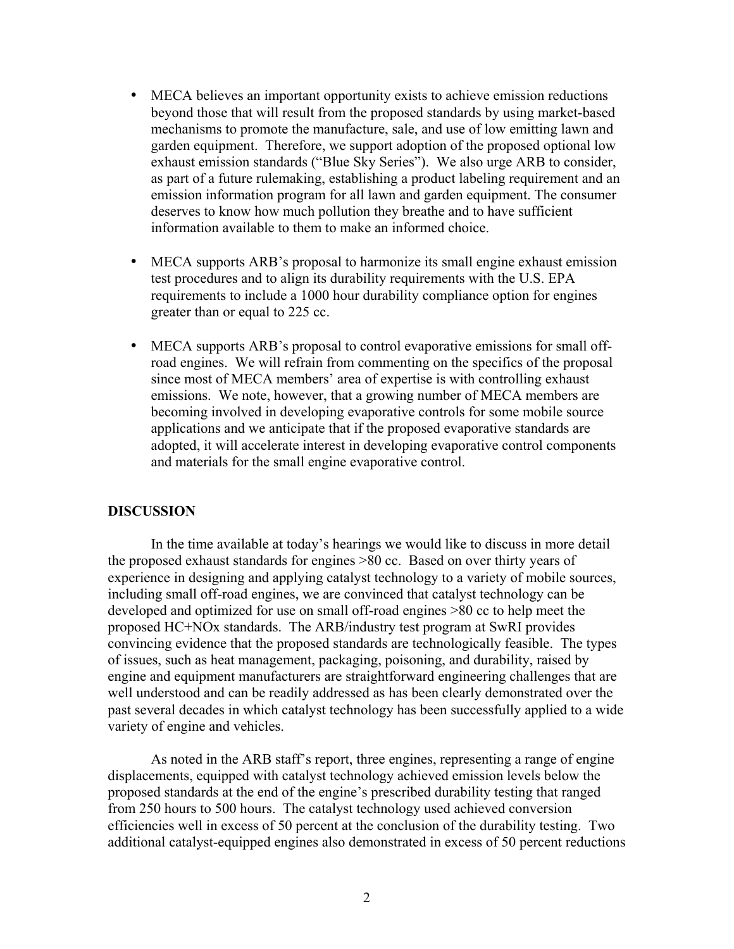- MECA believes an important opportunity exists to achieve emission reductions beyond those that will result from the proposed standards by using market-based mechanisms to promote the manufacture, sale, and use of low emitting lawn and garden equipment. Therefore, we support adoption of the proposed optional low exhaust emission standards ("Blue Sky Series"). We also urge ARB to consider, as part of a future rulemaking, establishing a product labeling requirement and an emission information program for all lawn and garden equipment. The consumer deserves to know how much pollution they breathe and to have sufficient information available to them to make an informed choice.
- MECA supports ARB's proposal to harmonize its small engine exhaust emission test procedures and to align its durability requirements with the U.S. EPA requirements to include a 1000 hour durability compliance option for engines greater than or equal to 225 cc.
- MECA supports ARB's proposal to control evaporative emissions for small offroad engines. We will refrain from commenting on the specifics of the proposal since most of MECA members' area of expertise is with controlling exhaust emissions. We note, however, that a growing number of MECA members are becoming involved in developing evaporative controls for some mobile source applications and we anticipate that if the proposed evaporative standards are adopted, it will accelerate interest in developing evaporative control components and materials for the small engine evaporative control.

#### **DISCUSSION**

In the time available at today's hearings we would like to discuss in more detail the proposed exhaust standards for engines >80 cc. Based on over thirty years of experience in designing and applying catalyst technology to a variety of mobile sources, including small off-road engines, we are convinced that catalyst technology can be developed and optimized for use on small off-road engines >80 cc to help meet the proposed HC+NOx standards. The ARB/industry test program at SwRI provides convincing evidence that the proposed standards are technologically feasible. The types of issues, such as heat management, packaging, poisoning, and durability, raised by engine and equipment manufacturers are straightforward engineering challenges that are well understood and can be readily addressed as has been clearly demonstrated over the past several decades in which catalyst technology has been successfully applied to a wide variety of engine and vehicles.

As noted in the ARB staff's report, three engines, representing a range of engine displacements, equipped with catalyst technology achieved emission levels below the proposed standards at the end of the engine's prescribed durability testing that ranged from 250 hours to 500 hours. The catalyst technology used achieved conversion efficiencies well in excess of 50 percent at the conclusion of the durability testing. Two additional catalyst-equipped engines also demonstrated in excess of 50 percent reductions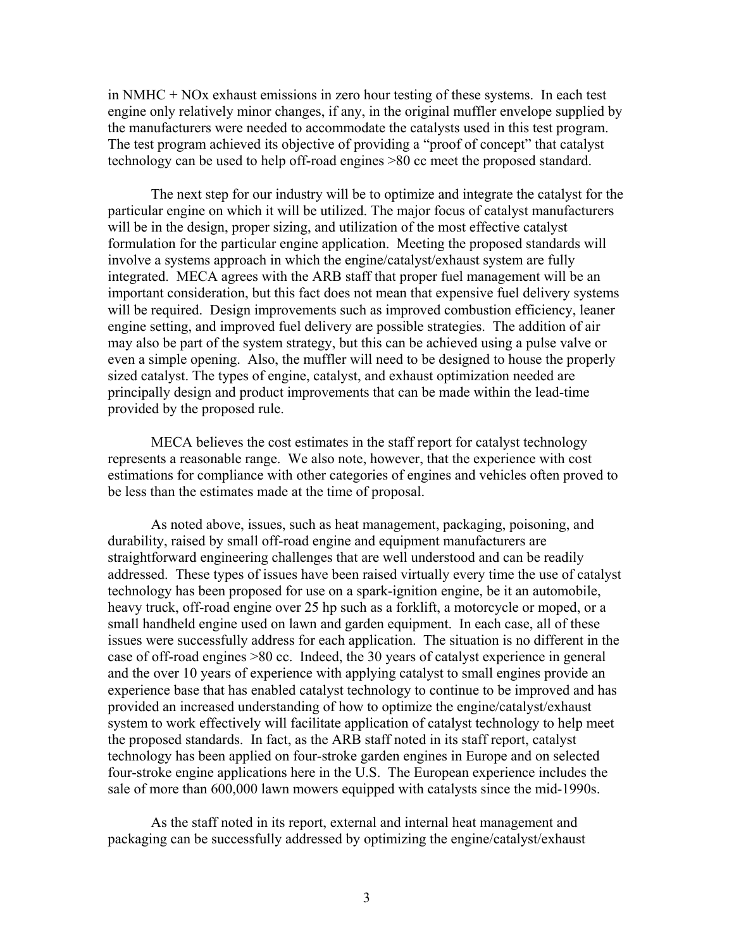in NMHC + NOx exhaust emissions in zero hour testing of these systems. In each test engine only relatively minor changes, if any, in the original muffler envelope supplied by the manufacturers were needed to accommodate the catalysts used in this test program. The test program achieved its objective of providing a "proof of concept" that catalyst technology can be used to help off-road engines >80 cc meet the proposed standard.

The next step for our industry will be to optimize and integrate the catalyst for the particular engine on which it will be utilized. The major focus of catalyst manufacturers will be in the design, proper sizing, and utilization of the most effective catalyst formulation for the particular engine application. Meeting the proposed standards will involve a systems approach in which the engine/catalyst/exhaust system are fully integrated. MECA agrees with the ARB staff that proper fuel management will be an important consideration, but this fact does not mean that expensive fuel delivery systems will be required. Design improvements such as improved combustion efficiency, leaner engine setting, and improved fuel delivery are possible strategies. The addition of air may also be part of the system strategy, but this can be achieved using a pulse valve or even a simple opening. Also, the muffler will need to be designed to house the properly sized catalyst. The types of engine, catalyst, and exhaust optimization needed are principally design and product improvements that can be made within the lead-time provided by the proposed rule.

MECA believes the cost estimates in the staff report for catalyst technology represents a reasonable range. We also note, however, that the experience with cost estimations for compliance with other categories of engines and vehicles often proved to be less than the estimates made at the time of proposal.

As noted above, issues, such as heat management, packaging, poisoning, and durability, raised by small off-road engine and equipment manufacturers are straightforward engineering challenges that are well understood and can be readily addressed. These types of issues have been raised virtually every time the use of catalyst technology has been proposed for use on a spark-ignition engine, be it an automobile, heavy truck, off-road engine over 25 hp such as a forklift, a motorcycle or moped, or a small handheld engine used on lawn and garden equipment. In each case, all of these issues were successfully address for each application. The situation is no different in the case of off-road engines >80 cc. Indeed, the 30 years of catalyst experience in general and the over 10 years of experience with applying catalyst to small engines provide an experience base that has enabled catalyst technology to continue to be improved and has provided an increased understanding of how to optimize the engine/catalyst/exhaust system to work effectively will facilitate application of catalyst technology to help meet the proposed standards. In fact, as the ARB staff noted in its staff report, catalyst technology has been applied on four-stroke garden engines in Europe and on selected four-stroke engine applications here in the U.S. The European experience includes the sale of more than 600,000 lawn mowers equipped with catalysts since the mid-1990s.

As the staff noted in its report, external and internal heat management and packaging can be successfully addressed by optimizing the engine/catalyst/exhaust